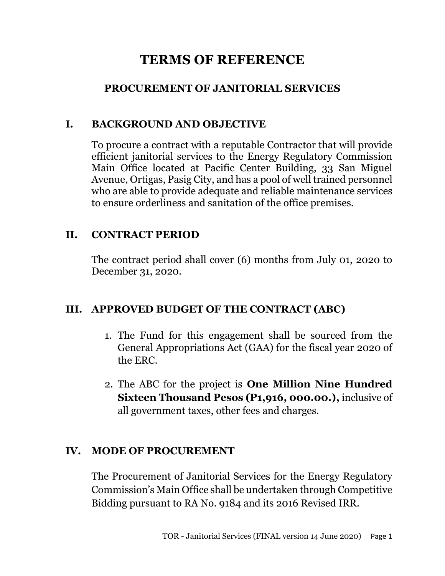# **TERMS OF REFERENCE**

# **PROCUREMENT OF JANITORIAL SERVICES**

#### **I. BACKGROUND AND OBJECTIVE**

To procure a contract with a reputable Contractor that will provide efficient janitorial services to the Energy Regulatory Commission Main Office located at Pacific Center Building, 33 San Miguel Avenue, Ortigas, Pasig City, and has a pool of well trained personnel who are able to provide adequate and reliable maintenance services to ensure orderliness and sanitation of the office premises.

### **II. CONTRACT PERIOD**

The contract period shall cover (6) months from July 01, 2020 to December 31, 2020.

# **III. APPROVED BUDGET OF THE CONTRACT (ABC)**

- 1. The Fund for this engagement shall be sourced from the General Appropriations Act (GAA) for the fiscal year 2020 of the ERC.
- 2. The ABC for the project is **One Million Nine Hundred Sixteen Thousand Pesos (P1,916, 000.00.),** inclusive of all government taxes, other fees and charges.

# **IV. MODE OF PROCUREMENT**

The Procurement of Janitorial Services for the Energy Regulatory Commission's Main Office shall be undertaken through Competitive Bidding pursuant to RA No. 9184 and its 2016 Revised IRR.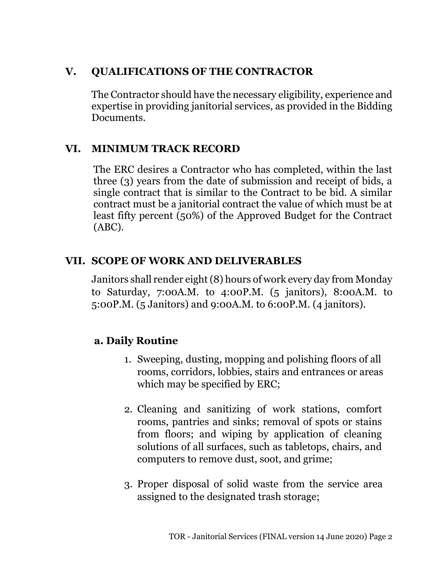# **V. QUALIFICATIONS OF THE CONTRACTOR**

The Contractor should have the necessary eligibility, experience and expertise in providing janitorial services, as provided in the Bidding Documents.

# **VI. MINIMUM TRACK RECORD**

The ERC desires a Contractor who has completed, within the last three (3) years from the date of submission and receipt of bids, a single contract that is similar to the Contract to be bid. A similar contract must be a janitorial contract the value of which must be at least fifty percent (50%) of the Approved Budget for the Contract (ABC).

# **VII. SCOPE OF WORK AND DELIVERABLES**

Janitors shall render eight (8) hours of work every day from Monday to Saturday, 7:00A.M. to 4:00P.M. (5 janitors), 8:00A.M. to 5:00P.M. (5 Janitors) and 9:00A.M. to 6:00P.M. (4 janitors).

# **a. Daily Routine**

- 1. Sweeping, dusting, mopping and polishing floors of all rooms, corridors, lobbies, stairs and entrances or areas which may be specified by ERC;
- 2. Cleaning and sanitizing of work stations, comfort rooms, pantries and sinks; removal of spots or stains from floors; and wiping by application of cleaning solutions of all surfaces, such as tabletops, chairs, and computers to remove dust, soot, and grime;
- 3. Proper disposal of solid waste from the service area assigned to the designated trash storage;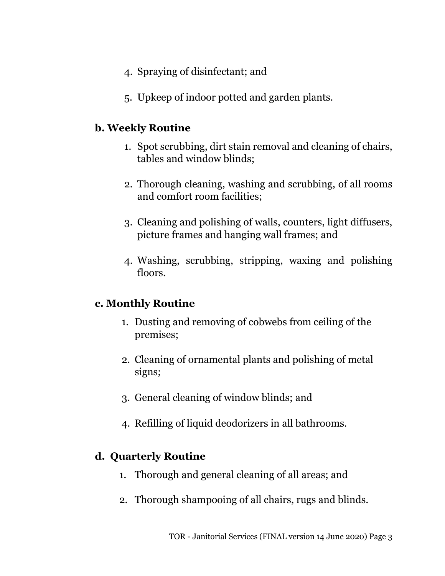- 4. Spraying of disinfectant; and
- 5. Upkeep of indoor potted and garden plants.

# **b. Weekly Routine**

- 1. Spot scrubbing, dirt stain removal and cleaning of chairs, tables and window blinds;
- 2. Thorough cleaning, washing and scrubbing, of all rooms and comfort room facilities;
- 3. Cleaning and polishing of walls, counters, light diffusers, picture frames and hanging wall frames; and
- 4. Washing, scrubbing, stripping, waxing and polishing floors.

# **c. Monthly Routine**

- 1. Dusting and removing of cobwebs from ceiling of the premises;
- 2. Cleaning of ornamental plants and polishing of metal signs;
- 3. General cleaning of window blinds; and
- 4. Refilling of liquid deodorizers in all bathrooms.

# **d. Quarterly Routine**

- 1. Thorough and general cleaning of all areas; and
- 2. Thorough shampooing of all chairs, rugs and blinds.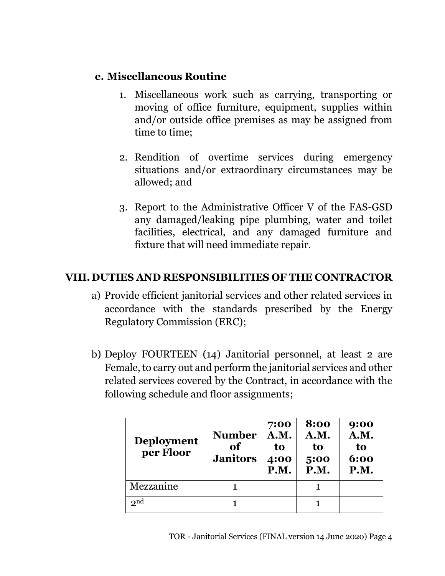### **e. Miscellaneous Routine**

- 1. Miscellaneous work such as carrying, transporting or moving of office furniture, equipment, supplies within and/or outside office premises as may be assigned from time to time;
- 2. Rendition of overtime services during emergency situations and/or extraordinary circumstances may be allowed; and
- 3. Report to the Administrative Officer V of the FAS-GSD any damaged/leaking pipe plumbing, water and toilet facilities, electrical, and any damaged furniture and fixture that will need immediate repair.

# **VIII. DUTIES AND RESPONSIBILITIES OF THE CONTRACTOR**

- a) Provide efficient janitorial services and other related services in accordance with the standards prescribed by the Energy Regulatory Commission (ERC);
- b) Deploy FOURTEEN (14) Janitorial personnel, at least 2 are Female, to carry out and perform the janitorial services and other related services covered by the Contract, in accordance with the following schedule and floor assignments;

| <b>Deployment</b><br>per Floor | <b>Number</b><br>of<br><b>Janitors</b> | 7:00<br>A.M.<br>to<br>4:00<br>P.M. | 8:00<br>A.M.<br>to<br>5:00<br>P.M. | 9:00<br>A.M.<br>to<br>6:00<br>P.M. |
|--------------------------------|----------------------------------------|------------------------------------|------------------------------------|------------------------------------|
| Mezzanine                      |                                        |                                    |                                    |                                    |
| $\mathbf{p}$ nd                |                                        |                                    |                                    |                                    |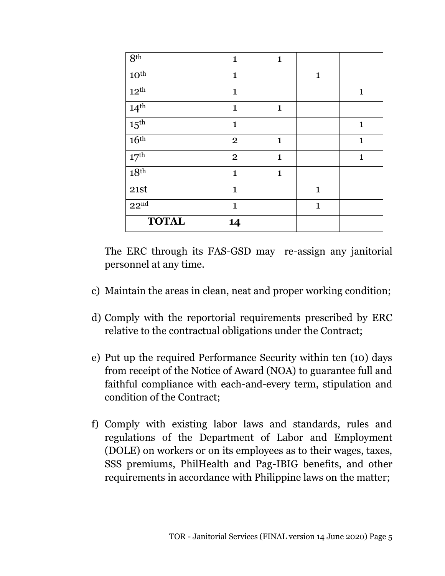| 8 <sup>th</sup>  | $\mathbf{1}$   | $\mathbf{1}$ |              |              |
|------------------|----------------|--------------|--------------|--------------|
| $10^{\rm th}$    | $\mathbf{1}$   |              | $\mathbf{1}$ |              |
| 12 <sup>th</sup> | $\mathbf{1}$   |              |              | $\mathbf{1}$ |
| 14 <sup>th</sup> | $\mathbf{1}$   | $\mathbf{1}$ |              |              |
| $15^{\text{th}}$ | $\mathbf{1}$   |              |              | $\mathbf{1}$ |
| 16 <sup>th</sup> | $\overline{2}$ | $\mathbf{1}$ |              | $\mathbf{1}$ |
| $17^{\rm th}$    | $\overline{2}$ | $\mathbf{1}$ |              | $\mathbf{1}$ |
| 18 <sup>th</sup> | $\mathbf{1}$   | $\mathbf{1}$ |              |              |
| 21st             | $\mathbf{1}$   |              | $\mathbf{1}$ |              |
| 22 <sup>nd</sup> | $\mathbf{1}$   |              | $\mathbf{1}$ |              |
| <b>TOTAL</b>     | 14             |              |              |              |

The ERC through its FAS-GSD may re-assign any janitorial personnel at any time.

- c) Maintain the areas in clean, neat and proper working condition;
- d) Comply with the reportorial requirements prescribed by ERC relative to the contractual obligations under the Contract;
- e) Put up the required Performance Security within ten (10) days from receipt of the Notice of Award (NOA) to guarantee full and faithful compliance with each-and-every term, stipulation and condition of the Contract;
- f) Comply with existing labor laws and standards, rules and regulations of the Department of Labor and Employment (DOLE) on workers or on its employees as to their wages, taxes, SSS premiums, PhilHealth and Pag-IBIG benefits, and other requirements in accordance with Philippine laws on the matter;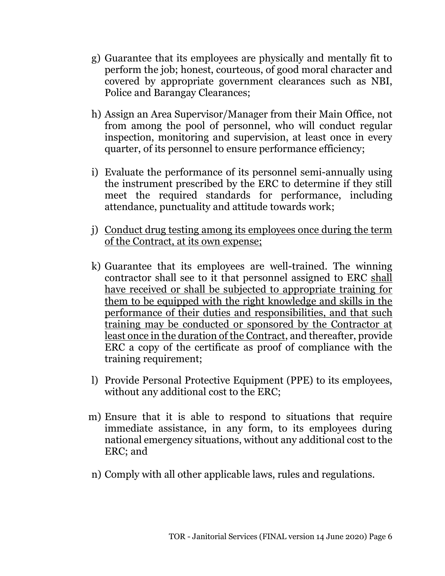- g) Guarantee that its employees are physically and mentally fit to perform the job; honest, courteous, of good moral character and covered by appropriate government clearances such as NBI, Police and Barangay Clearances;
- h) Assign an Area Supervisor/Manager from their Main Office, not from among the pool of personnel, who will conduct regular inspection, monitoring and supervision, at least once in every quarter, of its personnel to ensure performance efficiency;
- i) Evaluate the performance of its personnel semi-annually using the instrument prescribed by the ERC to determine if they still meet the required standards for performance, including attendance, punctuality and attitude towards work;
- j) Conduct drug testing among its employees once during the term of the Contract, at its own expense;
- k) Guarantee that its employees are well-trained. The winning contractor shall see to it that personnel assigned to ERC shall have received or shall be subjected to appropriate training for them to be equipped with the right knowledge and skills in the performance of their duties and responsibilities, and that such training may be conducted or sponsored by the Contractor at least once in the duration of the Contract, and thereafter, provide ERC a copy of the certificate as proof of compliance with the training requirement;
- l) Provide Personal Protective Equipment (PPE) to its employees, without any additional cost to the ERC;
- m) Ensure that it is able to respond to situations that require immediate assistance, in any form, to its employees during national emergency situations, without any additional cost to the ERC; and
- n) Comply with all other applicable laws, rules and regulations.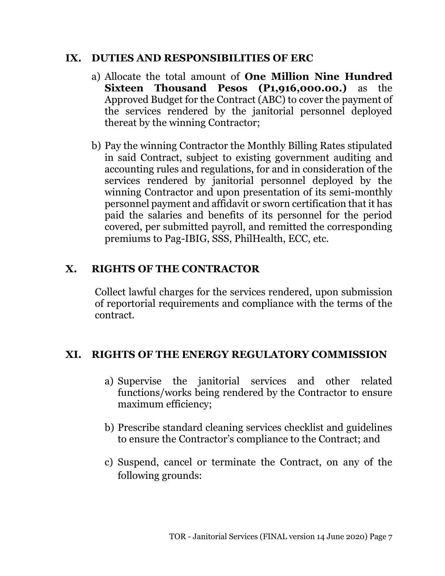#### **IX. DUTIES AND RESPONSIBILITIES OF ERC**

- a) Allocate the total amount of **One Million Nine Hundred Sixteen Thousand Pesos (P1,916,000.00.)** as the Approved Budget for the Contract (ABC) to cover the payment of the services rendered by the janitorial personnel deployed thereat by the winning Contractor;
- b) Pay the winning Contractor the Monthly Billing Rates stipulated in said Contract, subject to existing government auditing and accounting rules and regulations, for and in consideration of the services rendered by janitorial personnel deployed by the winning Contractor and upon presentation of its semi-monthly personnel payment and affidavit or sworn certification that it has paid the salaries and benefits of its personnel for the period covered, per submitted payroll, and remitted the corresponding premiums to Pag-IBIG, SSS, PhilHealth, ECC, etc.

### **X. RIGHTS OF THE CONTRACTOR**

Collect lawful charges for the services rendered, upon submission of reportorial requirements and compliance with the terms of the contract.

### **XI. RIGHTS OF THE ENERGY REGULATORY COMMISSION**

- a) Supervise the janitorial services and other related functions/works being rendered by the Contractor to ensure maximum efficiency;
- b) Prescribe standard cleaning services checklist and guidelines to ensure the Contractor's compliance to the Contract; and
- c) Suspend, cancel or terminate the Contract, on any of the following grounds: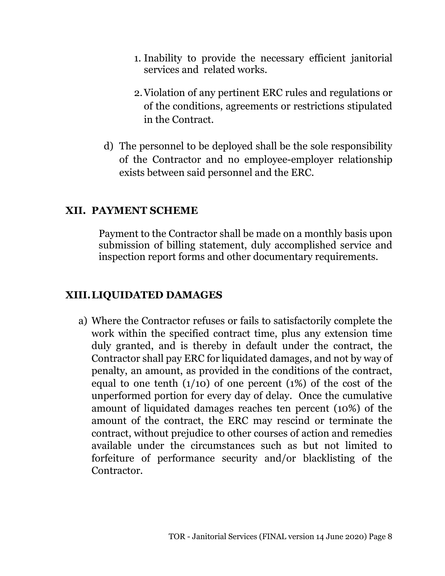- 1. Inability to provide the necessary efficient janitorial services and related works.
- 2.Violation of any pertinent ERC rules and regulations or of the conditions, agreements or restrictions stipulated in the Contract.
- d) The personnel to be deployed shall be the sole responsibility of the Contractor and no employee-employer relationship exists between said personnel and the ERC.

### **XII. PAYMENT SCHEME**

Payment to the Contractor shall be made on a monthly basis upon submission of billing statement, duly accomplished service and inspection report forms and other documentary requirements.

### **XIII.LIQUIDATED DAMAGES**

a) Where the Contractor refuses or fails to satisfactorily complete the work within the specified contract time, plus any extension time duly granted, and is thereby in default under the contract, the Contractor shall pay ERC for liquidated damages, and not by way of penalty, an amount, as provided in the conditions of the contract, equal to one tenth  $(1/10)$  of one percent  $(1%)$  of the cost of the unperformed portion for every day of delay. Once the cumulative amount of liquidated damages reaches ten percent (10%) of the amount of the contract, the ERC may rescind or terminate the contract, without prejudice to other courses of action and remedies available under the circumstances such as but not limited to forfeiture of performance security and/or blacklisting of the Contractor.